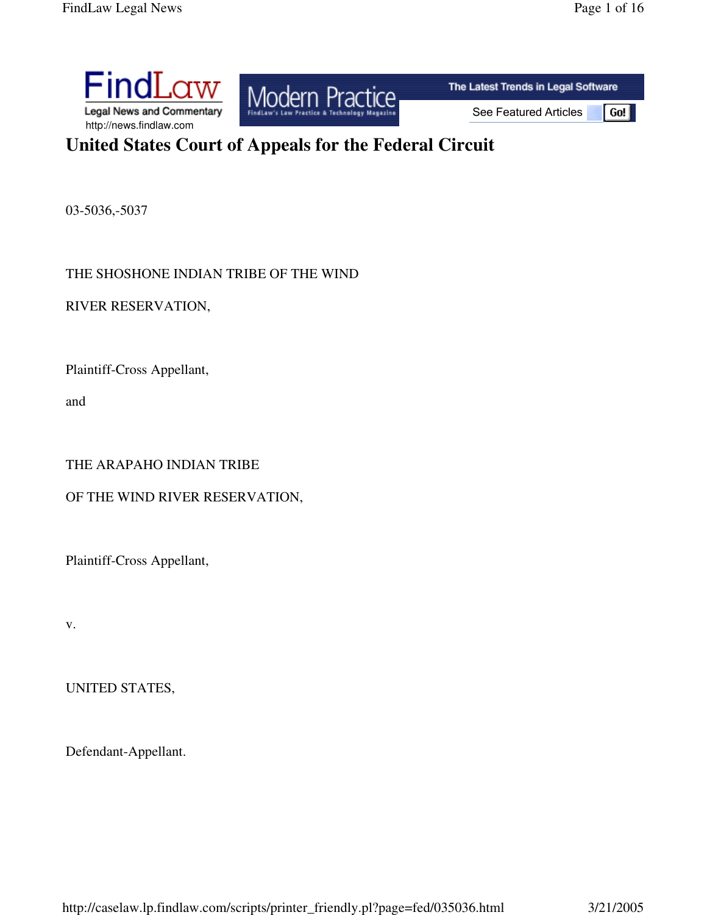# **United States Court of Appeals for the Federal Circuit**

03-5036,-5037

THE SHOSHONE INDIAN TRIBE OF THE WIND

RIVER RESERVATION,

Plaintiff-Cross Appellant,

and

## THE ARAPAHO INDIAN TRIBE

## OF THE WIND RIVER RESERVATION,

Plaintiff-Cross Appellant,

v.

UNITED STATES,

Defendant-Appellant.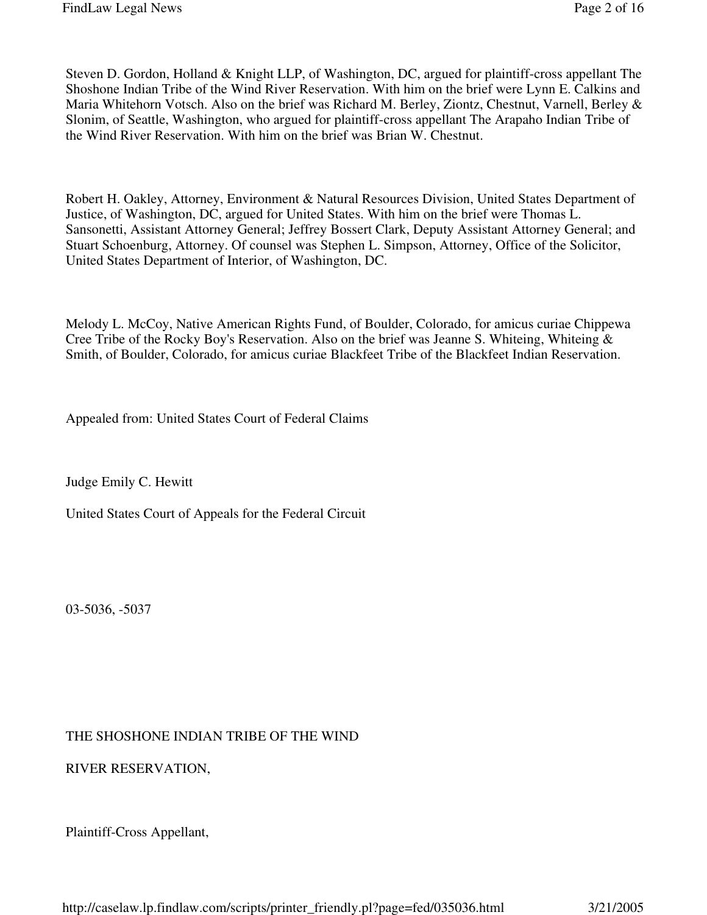Steven D. Gordon, Holland & Knight LLP, of Washington, DC, argued for plaintiff-cross appellant The Shoshone Indian Tribe of the Wind River Reservation. With him on the brief were Lynn E. Calkins and Maria Whitehorn Votsch. Also on the brief was Richard M. Berley, Ziontz, Chestnut, Varnell, Berley & Slonim, of Seattle, Washington, who argued for plaintiff-cross appellant The Arapaho Indian Tribe of the Wind River Reservation. With him on the brief was Brian W. Chestnut.

Robert H. Oakley, Attorney, Environment & Natural Resources Division, United States Department of Justice, of Washington, DC, argued for United States. With him on the brief were Thomas L. Sansonetti, Assistant Attorney General; Jeffrey Bossert Clark, Deputy Assistant Attorney General; and Stuart Schoenburg, Attorney. Of counsel was Stephen L. Simpson, Attorney, Office of the Solicitor, United States Department of Interior, of Washington, DC.

Melody L. McCoy, Native American Rights Fund, of Boulder, Colorado, for amicus curiae Chippewa Cree Tribe of the Rocky Boy's Reservation. Also on the brief was Jeanne S. Whiteing, Whiteing  $\&$ Smith, of Boulder, Colorado, for amicus curiae Blackfeet Tribe of the Blackfeet Indian Reservation.

Appealed from: United States Court of Federal Claims

Judge Emily C. Hewitt

United States Court of Appeals for the Federal Circuit

03-5036, -5037

#### THE SHOSHONE INDIAN TRIBE OF THE WIND

RIVER RESERVATION,

Plaintiff-Cross Appellant,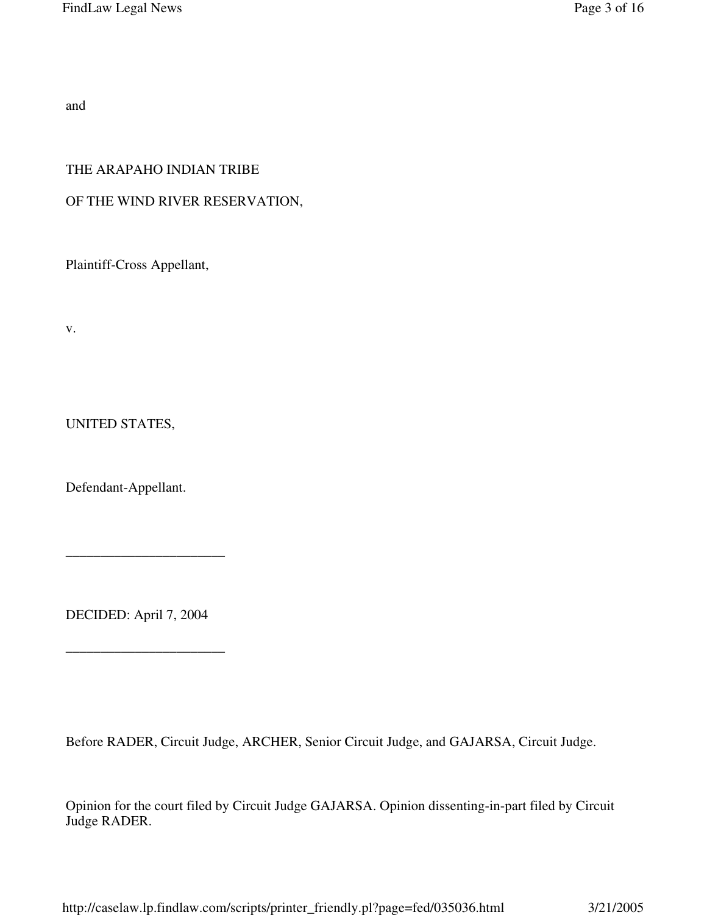and

### THE ARAPAHO INDIAN TRIBE

## OF THE WIND RIVER RESERVATION,

Plaintiff-Cross Appellant,

v.

UNITED STATES,

Defendant-Appellant.

DECIDED: April 7, 2004

\_\_\_\_\_\_\_\_\_\_\_\_\_\_\_\_\_\_\_\_\_\_\_

\_\_\_\_\_\_\_\_\_\_\_\_\_\_\_\_\_\_\_\_\_\_\_

Before RADER, Circuit Judge, ARCHER, Senior Circuit Judge, and GAJARSA, Circuit Judge.

Opinion for the court filed by Circuit Judge GAJARSA. Opinion dissenting-in-part filed by Circuit Judge RADER.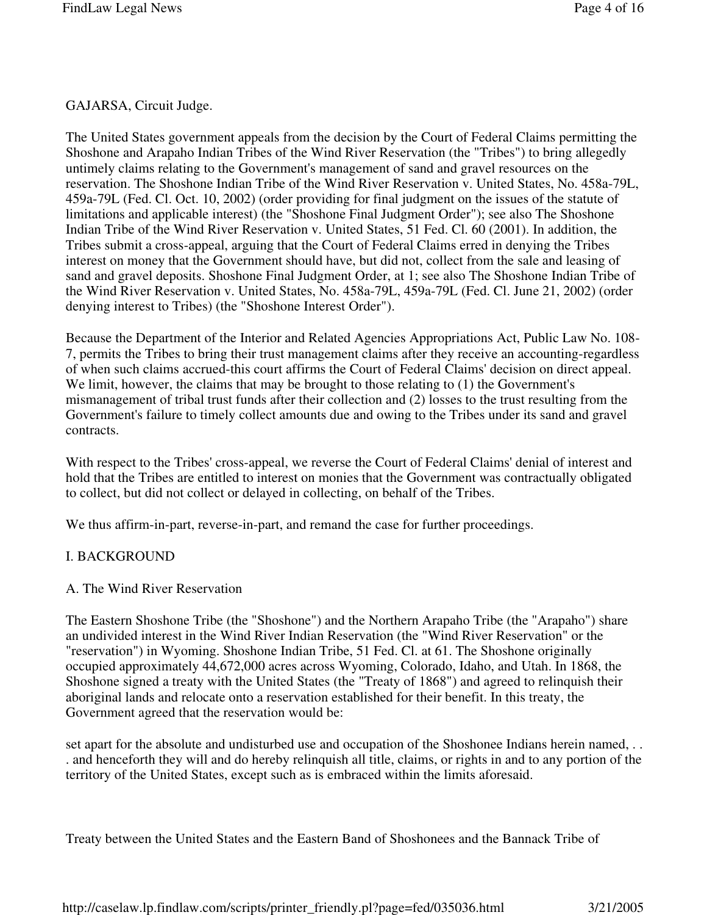#### GAJARSA, Circuit Judge.

The United States government appeals from the decision by the Court of Federal Claims permitting the Shoshone and Arapaho Indian Tribes of the Wind River Reservation (the "Tribes") to bring allegedly untimely claims relating to the Government's management of sand and gravel resources on the reservation. The Shoshone Indian Tribe of the Wind River Reservation v. United States, No. 458a-79L, 459a-79L (Fed. Cl. Oct. 10, 2002) (order providing for final judgment on the issues of the statute of limitations and applicable interest) (the "Shoshone Final Judgment Order"); see also The Shoshone Indian Tribe of the Wind River Reservation v. United States, 51 Fed. Cl. 60 (2001). In addition, the Tribes submit a cross-appeal, arguing that the Court of Federal Claims erred in denying the Tribes interest on money that the Government should have, but did not, collect from the sale and leasing of sand and gravel deposits. Shoshone Final Judgment Order, at 1; see also The Shoshone Indian Tribe of the Wind River Reservation v. United States, No. 458a-79L, 459a-79L (Fed. Cl. June 21, 2002) (order denying interest to Tribes) (the "Shoshone Interest Order").

Because the Department of the Interior and Related Agencies Appropriations Act, Public Law No. 108- 7, permits the Tribes to bring their trust management claims after they receive an accounting-regardless of when such claims accrued-this court affirms the Court of Federal Claims' decision on direct appeal. We limit, however, the claims that may be brought to those relating to (1) the Government's mismanagement of tribal trust funds after their collection and (2) losses to the trust resulting from the Government's failure to timely collect amounts due and owing to the Tribes under its sand and gravel contracts.

With respect to the Tribes' cross-appeal, we reverse the Court of Federal Claims' denial of interest and hold that the Tribes are entitled to interest on monies that the Government was contractually obligated to collect, but did not collect or delayed in collecting, on behalf of the Tribes.

We thus affirm-in-part, reverse-in-part, and remand the case for further proceedings.

## I. BACKGROUND

#### A. The Wind River Reservation

The Eastern Shoshone Tribe (the "Shoshone") and the Northern Arapaho Tribe (the "Arapaho") share an undivided interest in the Wind River Indian Reservation (the "Wind River Reservation" or the "reservation") in Wyoming. Shoshone Indian Tribe, 51 Fed. Cl. at 61. The Shoshone originally occupied approximately 44,672,000 acres across Wyoming, Colorado, Idaho, and Utah. In 1868, the Shoshone signed a treaty with the United States (the "Treaty of 1868") and agreed to relinquish their aboriginal lands and relocate onto a reservation established for their benefit. In this treaty, the Government agreed that the reservation would be:

set apart for the absolute and undisturbed use and occupation of the Shoshonee Indians herein named, . . . and henceforth they will and do hereby relinquish all title, claims, or rights in and to any portion of the territory of the United States, except such as is embraced within the limits aforesaid.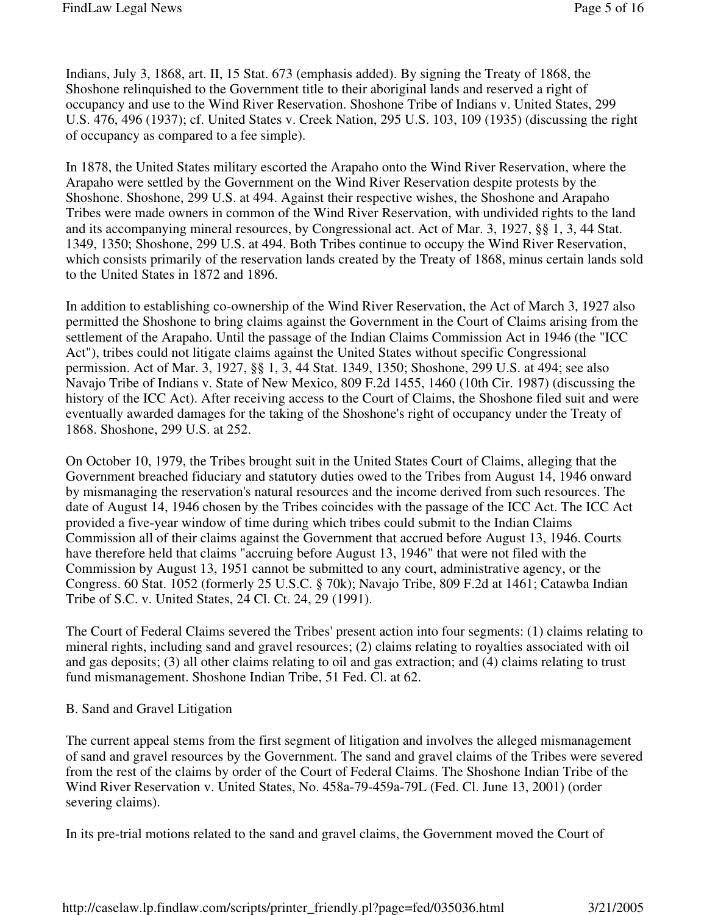Indians, July 3, 1868, art. II, 15 Stat. 673 (emphasis added). By signing the Treaty of 1868, the Shoshone relinquished to the Government title to their aboriginal lands and reserved a right of occupancy and use to the Wind River Reservation. Shoshone Tribe of Indians v. United States, 299 U.S. 476, 496 (1937); cf. United States v. Creek Nation, 295 U.S. 103, 109 (1935) (discussing the right of occupancy as compared to a fee simple).

In 1878, the United States military escorted the Arapaho onto the Wind River Reservation, where the Arapaho were settled by the Government on the Wind River Reservation despite protests by the Shoshone. Shoshone, 299 U.S. at 494. Against their respective wishes, the Shoshone and Arapaho Tribes were made owners in common of the Wind River Reservation, with undivided rights to the land and its accompanying mineral resources, by Congressional act. Act of Mar. 3, 1927, §§ 1, 3, 44 Stat. 1349, 1350; Shoshone, 299 U.S. at 494. Both Tribes continue to occupy the Wind River Reservation, which consists primarily of the reservation lands created by the Treaty of 1868, minus certain lands sold to the United States in 1872 and 1896.

In addition to establishing co-ownership of the Wind River Reservation, the Act of March 3, 1927 also permitted the Shoshone to bring claims against the Government in the Court of Claims arising from the settlement of the Arapaho. Until the passage of the Indian Claims Commission Act in 1946 (the "ICC Act"), tribes could not litigate claims against the United States without specific Congressional permission. Act of Mar. 3, 1927, §§ 1, 3, 44 Stat. 1349, 1350; Shoshone, 299 U.S. at 494; see also Navajo Tribe of Indians v. State of New Mexico, 809 F.2d 1455, 1460 (10th Cir. 1987) (discussing the history of the ICC Act). After receiving access to the Court of Claims, the Shoshone filed suit and were eventually awarded damages for the taking of the Shoshone's right of occupancy under the Treaty of 1868. Shoshone, 299 U.S. at 252.

On October 10, 1979, the Tribes brought suit in the United States Court of Claims, alleging that the Government breached fiduciary and statutory duties owed to the Tribes from August 14, 1946 onward by mismanaging the reservation's natural resources and the income derived from such resources. The date of August 14, 1946 chosen by the Tribes coincides with the passage of the ICC Act. The ICC Act provided a five-year window of time during which tribes could submit to the Indian Claims Commission all of their claims against the Government that accrued before August 13, 1946. Courts have therefore held that claims "accruing before August 13, 1946" that were not filed with the Commission by August 13, 1951 cannot be submitted to any court, administrative agency, or the Congress. 60 Stat. 1052 (formerly 25 U.S.C. § 70k); Navajo Tribe, 809 F.2d at 1461; Catawba Indian Tribe of S.C. v. United States, 24 Cl. Ct. 24, 29 (1991).

The Court of Federal Claims severed the Tribes' present action into four segments: (1) claims relating to mineral rights, including sand and gravel resources; (2) claims relating to royalties associated with oil and gas deposits; (3) all other claims relating to oil and gas extraction; and (4) claims relating to trust fund mismanagement. Shoshone Indian Tribe, 51 Fed. Cl. at 62.

#### B. Sand and Gravel Litigation

The current appeal stems from the first segment of litigation and involves the alleged mismanagement of sand and gravel resources by the Government. The sand and gravel claims of the Tribes were severed from the rest of the claims by order of the Court of Federal Claims. The Shoshone Indian Tribe of the Wind River Reservation v. United States, No. 458a-79-459a-79L (Fed. Cl. June 13, 2001) (order severing claims).

In its pre-trial motions related to the sand and gravel claims, the Government moved the Court of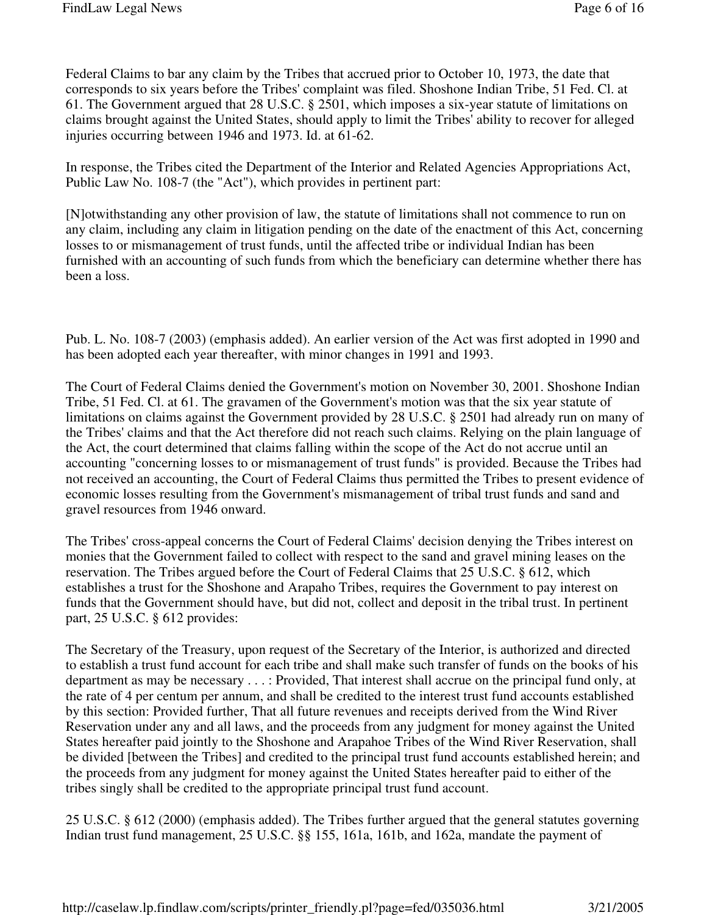Federal Claims to bar any claim by the Tribes that accrued prior to October 10, 1973, the date that corresponds to six years before the Tribes' complaint was filed. Shoshone Indian Tribe, 51 Fed. Cl. at 61. The Government argued that 28 U.S.C. § 2501, which imposes a six-year statute of limitations on claims brought against the United States, should apply to limit the Tribes' ability to recover for alleged injuries occurring between 1946 and 1973. Id. at 61-62.

In response, the Tribes cited the Department of the Interior and Related Agencies Appropriations Act, Public Law No. 108-7 (the "Act"), which provides in pertinent part:

[N]otwithstanding any other provision of law, the statute of limitations shall not commence to run on any claim, including any claim in litigation pending on the date of the enactment of this Act, concerning losses to or mismanagement of trust funds, until the affected tribe or individual Indian has been furnished with an accounting of such funds from which the beneficiary can determine whether there has been a loss.

Pub. L. No. 108-7 (2003) (emphasis added). An earlier version of the Act was first adopted in 1990 and has been adopted each year thereafter, with minor changes in 1991 and 1993.

The Court of Federal Claims denied the Government's motion on November 30, 2001. Shoshone Indian Tribe, 51 Fed. Cl. at 61. The gravamen of the Government's motion was that the six year statute of limitations on claims against the Government provided by 28 U.S.C. § 2501 had already run on many of the Tribes' claims and that the Act therefore did not reach such claims. Relying on the plain language of the Act, the court determined that claims falling within the scope of the Act do not accrue until an accounting "concerning losses to or mismanagement of trust funds" is provided. Because the Tribes had not received an accounting, the Court of Federal Claims thus permitted the Tribes to present evidence of economic losses resulting from the Government's mismanagement of tribal trust funds and sand and gravel resources from 1946 onward.

The Tribes' cross-appeal concerns the Court of Federal Claims' decision denying the Tribes interest on monies that the Government failed to collect with respect to the sand and gravel mining leases on the reservation. The Tribes argued before the Court of Federal Claims that 25 U.S.C. § 612, which establishes a trust for the Shoshone and Arapaho Tribes, requires the Government to pay interest on funds that the Government should have, but did not, collect and deposit in the tribal trust. In pertinent part, 25 U.S.C. § 612 provides:

The Secretary of the Treasury, upon request of the Secretary of the Interior, is authorized and directed to establish a trust fund account for each tribe and shall make such transfer of funds on the books of his department as may be necessary . . . : Provided, That interest shall accrue on the principal fund only, at the rate of 4 per centum per annum, and shall be credited to the interest trust fund accounts established by this section: Provided further, That all future revenues and receipts derived from the Wind River Reservation under any and all laws, and the proceeds from any judgment for money against the United States hereafter paid jointly to the Shoshone and Arapahoe Tribes of the Wind River Reservation, shall be divided [between the Tribes] and credited to the principal trust fund accounts established herein; and the proceeds from any judgment for money against the United States hereafter paid to either of the tribes singly shall be credited to the appropriate principal trust fund account.

25 U.S.C. § 612 (2000) (emphasis added). The Tribes further argued that the general statutes governing Indian trust fund management, 25 U.S.C. §§ 155, 161a, 161b, and 162a, mandate the payment of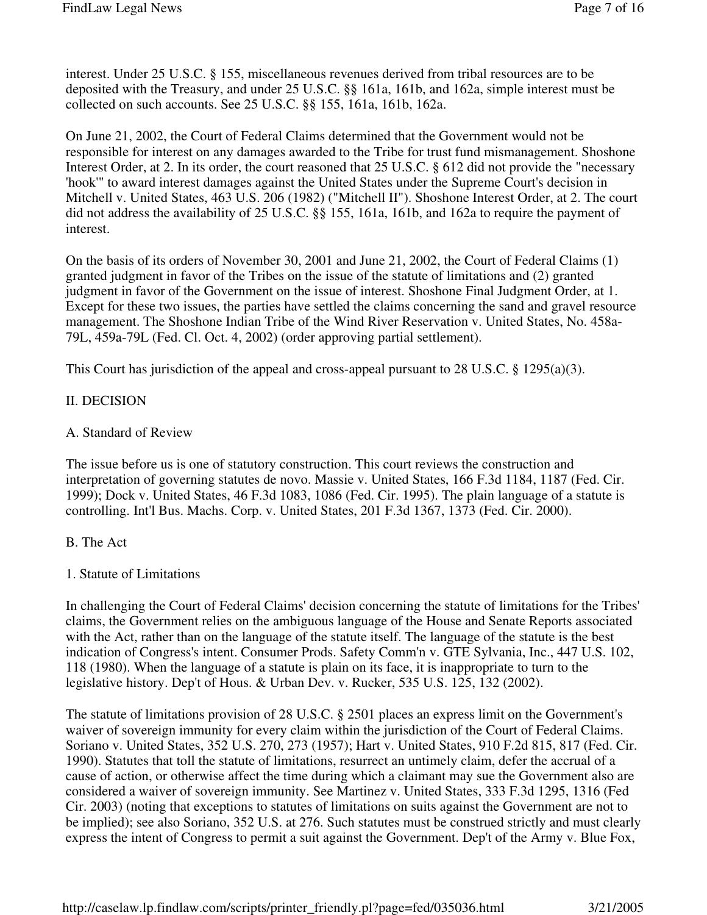interest. Under 25 U.S.C. § 155, miscellaneous revenues derived from tribal resources are to be deposited with the Treasury, and under 25 U.S.C. §§ 161a, 161b, and 162a, simple interest must be collected on such accounts. See 25 U.S.C. §§ 155, 161a, 161b, 162a.

On June 21, 2002, the Court of Federal Claims determined that the Government would not be responsible for interest on any damages awarded to the Tribe for trust fund mismanagement. Shoshone Interest Order, at 2. In its order, the court reasoned that 25 U.S.C. § 612 did not provide the "necessary 'hook'" to award interest damages against the United States under the Supreme Court's decision in Mitchell v. United States, 463 U.S. 206 (1982) ("Mitchell II"). Shoshone Interest Order, at 2. The court did not address the availability of 25 U.S.C. §§ 155, 161a, 161b, and 162a to require the payment of interest.

On the basis of its orders of November 30, 2001 and June 21, 2002, the Court of Federal Claims (1) granted judgment in favor of the Tribes on the issue of the statute of limitations and (2) granted judgment in favor of the Government on the issue of interest. Shoshone Final Judgment Order, at 1. Except for these two issues, the parties have settled the claims concerning the sand and gravel resource management. The Shoshone Indian Tribe of the Wind River Reservation v. United States, No. 458a-79L, 459a-79L (Fed. Cl. Oct. 4, 2002) (order approving partial settlement).

This Court has jurisdiction of the appeal and cross-appeal pursuant to 28 U.S.C. § 1295(a)(3).

#### II. DECISION

#### A. Standard of Review

The issue before us is one of statutory construction. This court reviews the construction and interpretation of governing statutes de novo. Massie v. United States, 166 F.3d 1184, 1187 (Fed. Cir. 1999); Dock v. United States, 46 F.3d 1083, 1086 (Fed. Cir. 1995). The plain language of a statute is controlling. Int'l Bus. Machs. Corp. v. United States, 201 F.3d 1367, 1373 (Fed. Cir. 2000).

#### B. The Act

#### 1. Statute of Limitations

In challenging the Court of Federal Claims' decision concerning the statute of limitations for the Tribes' claims, the Government relies on the ambiguous language of the House and Senate Reports associated with the Act, rather than on the language of the statute itself. The language of the statute is the best indication of Congress's intent. Consumer Prods. Safety Comm'n v. GTE Sylvania, Inc., 447 U.S. 102, 118 (1980). When the language of a statute is plain on its face, it is inappropriate to turn to the legislative history. Dep't of Hous. & Urban Dev. v. Rucker, 535 U.S. 125, 132 (2002).

The statute of limitations provision of 28 U.S.C. § 2501 places an express limit on the Government's waiver of sovereign immunity for every claim within the jurisdiction of the Court of Federal Claims. Soriano v. United States, 352 U.S. 270, 273 (1957); Hart v. United States, 910 F.2d 815, 817 (Fed. Cir. 1990). Statutes that toll the statute of limitations, resurrect an untimely claim, defer the accrual of a cause of action, or otherwise affect the time during which a claimant may sue the Government also are considered a waiver of sovereign immunity. See Martinez v. United States, 333 F.3d 1295, 1316 (Fed Cir. 2003) (noting that exceptions to statutes of limitations on suits against the Government are not to be implied); see also Soriano, 352 U.S. at 276. Such statutes must be construed strictly and must clearly express the intent of Congress to permit a suit against the Government. Dep't of the Army v. Blue Fox,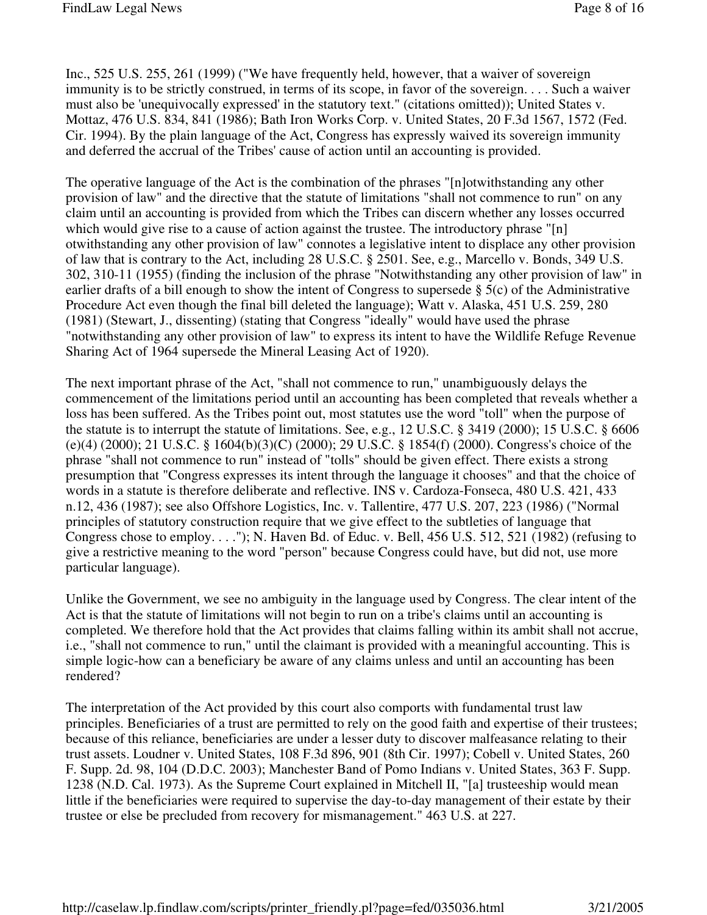Inc., 525 U.S. 255, 261 (1999) ("We have frequently held, however, that a waiver of sovereign immunity is to be strictly construed, in terms of its scope, in favor of the sovereign. . . . Such a waiver must also be 'unequivocally expressed' in the statutory text." (citations omitted)); United States v. Mottaz, 476 U.S. 834, 841 (1986); Bath Iron Works Corp. v. United States, 20 F.3d 1567, 1572 (Fed. Cir. 1994). By the plain language of the Act, Congress has expressly waived its sovereign immunity and deferred the accrual of the Tribes' cause of action until an accounting is provided.

The operative language of the Act is the combination of the phrases "[n]otwithstanding any other provision of law" and the directive that the statute of limitations "shall not commence to run" on any claim until an accounting is provided from which the Tribes can discern whether any losses occurred which would give rise to a cause of action against the trustee. The introductory phrase "[n] otwithstanding any other provision of law" connotes a legislative intent to displace any other provision of law that is contrary to the Act, including 28 U.S.C. § 2501. See, e.g., Marcello v. Bonds, 349 U.S. 302, 310-11 (1955) (finding the inclusion of the phrase "Notwithstanding any other provision of law" in earlier drafts of a bill enough to show the intent of Congress to supersede  $\S$  5(c) of the Administrative Procedure Act even though the final bill deleted the language); Watt v. Alaska, 451 U.S. 259, 280 (1981) (Stewart, J., dissenting) (stating that Congress "ideally" would have used the phrase "notwithstanding any other provision of law" to express its intent to have the Wildlife Refuge Revenue Sharing Act of 1964 supersede the Mineral Leasing Act of 1920).

The next important phrase of the Act, "shall not commence to run," unambiguously delays the commencement of the limitations period until an accounting has been completed that reveals whether a loss has been suffered. As the Tribes point out, most statutes use the word "toll" when the purpose of the statute is to interrupt the statute of limitations. See, e.g., 12 U.S.C. § 3419 (2000); 15 U.S.C. § 6606 (e)(4) (2000); 21 U.S.C. § 1604(b)(3)(C) (2000); 29 U.S.C. § 1854(f) (2000). Congress's choice of the phrase "shall not commence to run" instead of "tolls" should be given effect. There exists a strong presumption that "Congress expresses its intent through the language it chooses" and that the choice of words in a statute is therefore deliberate and reflective. INS v. Cardoza-Fonseca, 480 U.S. 421, 433 n.12, 436 (1987); see also Offshore Logistics, Inc. v. Tallentire, 477 U.S. 207, 223 (1986) ("Normal principles of statutory construction require that we give effect to the subtleties of language that Congress chose to employ.  $\dots$ "); N. Haven Bd. of Educ. v. Bell, 456 U.S. 512, 521 (1982) (refusing to give a restrictive meaning to the word "person" because Congress could have, but did not, use more particular language).

Unlike the Government, we see no ambiguity in the language used by Congress. The clear intent of the Act is that the statute of limitations will not begin to run on a tribe's claims until an accounting is completed. We therefore hold that the Act provides that claims falling within its ambit shall not accrue, i.e., "shall not commence to run," until the claimant is provided with a meaningful accounting. This is simple logic-how can a beneficiary be aware of any claims unless and until an accounting has been rendered?

The interpretation of the Act provided by this court also comports with fundamental trust law principles. Beneficiaries of a trust are permitted to rely on the good faith and expertise of their trustees; because of this reliance, beneficiaries are under a lesser duty to discover malfeasance relating to their trust assets. Loudner v. United States, 108 F.3d 896, 901 (8th Cir. 1997); Cobell v. United States, 260 F. Supp. 2d. 98, 104 (D.D.C. 2003); Manchester Band of Pomo Indians v. United States, 363 F. Supp. 1238 (N.D. Cal. 1973). As the Supreme Court explained in Mitchell II, "[a] trusteeship would mean little if the beneficiaries were required to supervise the day-to-day management of their estate by their trustee or else be precluded from recovery for mismanagement." 463 U.S. at 227.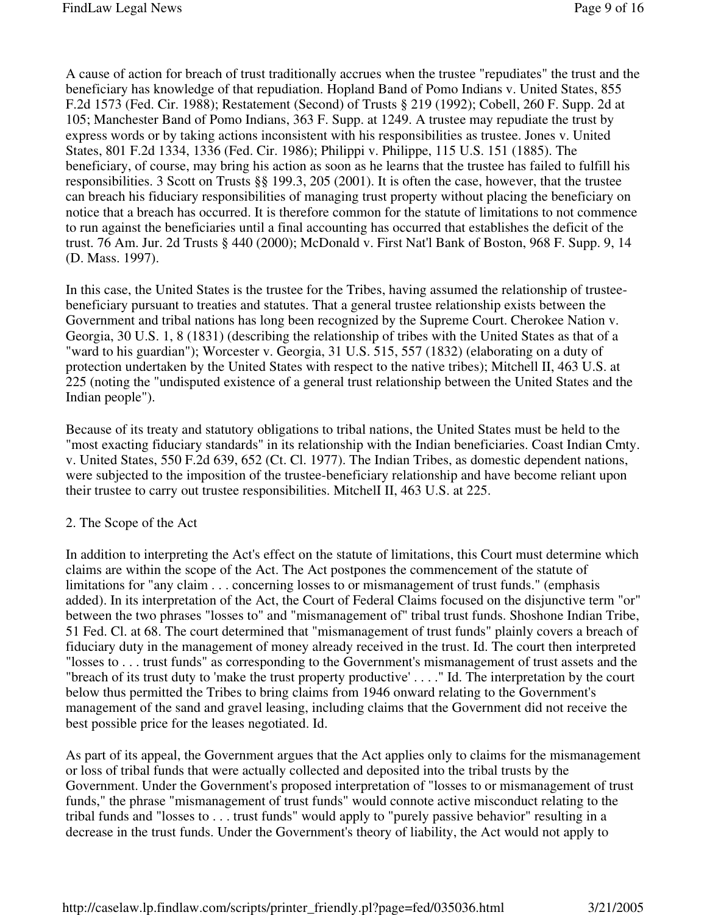A cause of action for breach of trust traditionally accrues when the trustee "repudiates" the trust and the beneficiary has knowledge of that repudiation. Hopland Band of Pomo Indians v. United States, 855 F.2d 1573 (Fed. Cir. 1988); Restatement (Second) of Trusts § 219 (1992); Cobell, 260 F. Supp. 2d at 105; Manchester Band of Pomo Indians, 363 F. Supp. at 1249. A trustee may repudiate the trust by express words or by taking actions inconsistent with his responsibilities as trustee. Jones v. United States, 801 F.2d 1334, 1336 (Fed. Cir. 1986); Philippi v. Philippe, 115 U.S. 151 (1885). The beneficiary, of course, may bring his action as soon as he learns that the trustee has failed to fulfill his responsibilities. 3 Scott on Trusts §§ 199.3, 205 (2001). It is often the case, however, that the trustee can breach his fiduciary responsibilities of managing trust property without placing the beneficiary on notice that a breach has occurred. It is therefore common for the statute of limitations to not commence to run against the beneficiaries until a final accounting has occurred that establishes the deficit of the trust. 76 Am. Jur. 2d Trusts § 440 (2000); McDonald v. First Nat'l Bank of Boston, 968 F. Supp. 9, 14 (D. Mass. 1997).

In this case, the United States is the trustee for the Tribes, having assumed the relationship of trusteebeneficiary pursuant to treaties and statutes. That a general trustee relationship exists between the Government and tribal nations has long been recognized by the Supreme Court. Cherokee Nation v. Georgia, 30 U.S. 1, 8 (1831) (describing the relationship of tribes with the United States as that of a "ward to his guardian"); Worcester v. Georgia, 31 U.S. 515, 557 (1832) (elaborating on a duty of protection undertaken by the United States with respect to the native tribes); Mitchell II, 463 U.S. at 225 (noting the "undisputed existence of a general trust relationship between the United States and the Indian people").

Because of its treaty and statutory obligations to tribal nations, the United States must be held to the "most exacting fiduciary standards" in its relationship with the Indian beneficiaries. Coast Indian Cmty. v. United States, 550 F.2d 639, 652 (Ct. Cl. 1977). The Indian Tribes, as domestic dependent nations, were subjected to the imposition of the trustee-beneficiary relationship and have become reliant upon their trustee to carry out trustee responsibilities. MitchelI II, 463 U.S. at 225.

#### 2. The Scope of the Act

In addition to interpreting the Act's effect on the statute of limitations, this Court must determine which claims are within the scope of the Act. The Act postpones the commencement of the statute of limitations for "any claim . . . concerning losses to or mismanagement of trust funds." (emphasis added). In its interpretation of the Act, the Court of Federal Claims focused on the disjunctive term "or" between the two phrases "losses to" and "mismanagement of" tribal trust funds. Shoshone Indian Tribe, 51 Fed. Cl. at 68. The court determined that "mismanagement of trust funds" plainly covers a breach of fiduciary duty in the management of money already received in the trust. Id. The court then interpreted "losses to . . . trust funds" as corresponding to the Government's mismanagement of trust assets and the "breach of its trust duty to 'make the trust property productive' . . . ." Id. The interpretation by the court below thus permitted the Tribes to bring claims from 1946 onward relating to the Government's management of the sand and gravel leasing, including claims that the Government did not receive the best possible price for the leases negotiated. Id.

As part of its appeal, the Government argues that the Act applies only to claims for the mismanagement or loss of tribal funds that were actually collected and deposited into the tribal trusts by the Government. Under the Government's proposed interpretation of "losses to or mismanagement of trust funds," the phrase "mismanagement of trust funds" would connote active misconduct relating to the tribal funds and "losses to . . . trust funds" would apply to "purely passive behavior" resulting in a decrease in the trust funds. Under the Government's theory of liability, the Act would not apply to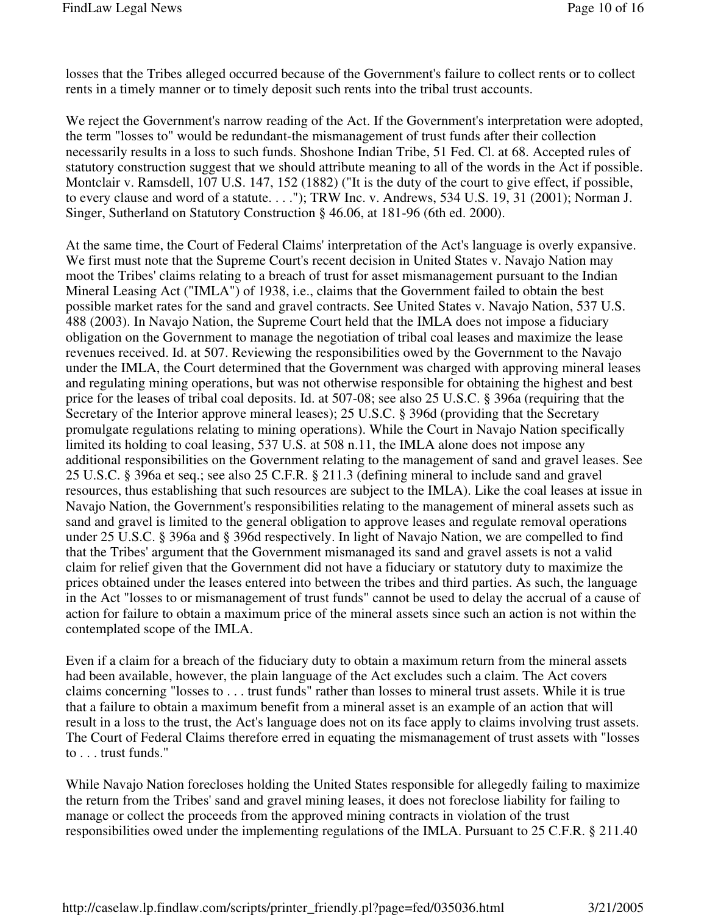losses that the Tribes alleged occurred because of the Government's failure to collect rents or to collect rents in a timely manner or to timely deposit such rents into the tribal trust accounts.

We reject the Government's narrow reading of the Act. If the Government's interpretation were adopted, the term "losses to" would be redundant-the mismanagement of trust funds after their collection necessarily results in a loss to such funds. Shoshone Indian Tribe, 51 Fed. Cl. at 68. Accepted rules of statutory construction suggest that we should attribute meaning to all of the words in the Act if possible. Montclair v. Ramsdell, 107 U.S. 147, 152 (1882) ("It is the duty of the court to give effect, if possible, to every clause and word of a statute. . . ."); TRW Inc. v. Andrews, 534 U.S. 19, 31 (2001); Norman J. Singer, Sutherland on Statutory Construction § 46.06, at 181-96 (6th ed. 2000).

At the same time, the Court of Federal Claims' interpretation of the Act's language is overly expansive. We first must note that the Supreme Court's recent decision in United States v. Navajo Nation may moot the Tribes' claims relating to a breach of trust for asset mismanagement pursuant to the Indian Mineral Leasing Act ("IMLA") of 1938, i.e., claims that the Government failed to obtain the best possible market rates for the sand and gravel contracts. See United States v. Navajo Nation, 537 U.S. 488 (2003). In Navajo Nation, the Supreme Court held that the IMLA does not impose a fiduciary obligation on the Government to manage the negotiation of tribal coal leases and maximize the lease revenues received. Id. at 507. Reviewing the responsibilities owed by the Government to the Navajo under the IMLA, the Court determined that the Government was charged with approving mineral leases and regulating mining operations, but was not otherwise responsible for obtaining the highest and best price for the leases of tribal coal deposits. Id. at 507-08; see also 25 U.S.C. § 396a (requiring that the Secretary of the Interior approve mineral leases); 25 U.S.C. § 396d (providing that the Secretary promulgate regulations relating to mining operations). While the Court in Navajo Nation specifically limited its holding to coal leasing, 537 U.S. at 508 n.11, the IMLA alone does not impose any additional responsibilities on the Government relating to the management of sand and gravel leases. See 25 U.S.C. § 396a et seq.; see also 25 C.F.R. § 211.3 (defining mineral to include sand and gravel resources, thus establishing that such resources are subject to the IMLA). Like the coal leases at issue in Navajo Nation, the Government's responsibilities relating to the management of mineral assets such as sand and gravel is limited to the general obligation to approve leases and regulate removal operations under 25 U.S.C. § 396a and § 396d respectively. In light of Navajo Nation, we are compelled to find that the Tribes' argument that the Government mismanaged its sand and gravel assets is not a valid claim for relief given that the Government did not have a fiduciary or statutory duty to maximize the prices obtained under the leases entered into between the tribes and third parties. As such, the language in the Act "losses to or mismanagement of trust funds" cannot be used to delay the accrual of a cause of action for failure to obtain a maximum price of the mineral assets since such an action is not within the contemplated scope of the IMLA.

Even if a claim for a breach of the fiduciary duty to obtain a maximum return from the mineral assets had been available, however, the plain language of the Act excludes such a claim. The Act covers claims concerning "losses to . . . trust funds" rather than losses to mineral trust assets. While it is true that a failure to obtain a maximum benefit from a mineral asset is an example of an action that will result in a loss to the trust, the Act's language does not on its face apply to claims involving trust assets. The Court of Federal Claims therefore erred in equating the mismanagement of trust assets with "losses to . . . trust funds."

While Navajo Nation forecloses holding the United States responsible for allegedly failing to maximize the return from the Tribes' sand and gravel mining leases, it does not foreclose liability for failing to manage or collect the proceeds from the approved mining contracts in violation of the trust responsibilities owed under the implementing regulations of the IMLA. Pursuant to 25 C.F.R. § 211.40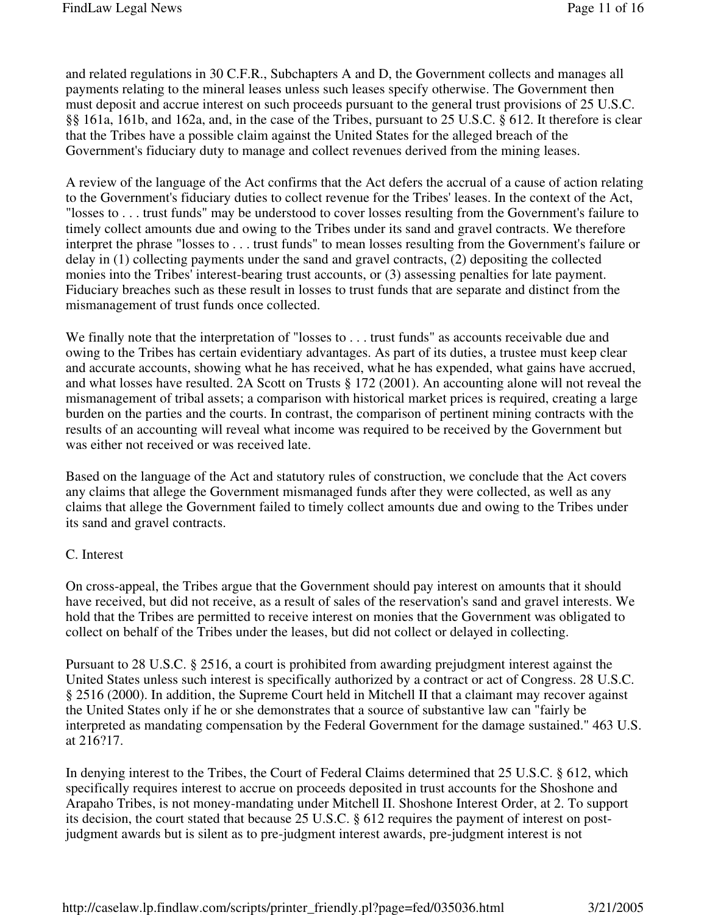and related regulations in 30 C.F.R., Subchapters A and D, the Government collects and manages all payments relating to the mineral leases unless such leases specify otherwise. The Government then must deposit and accrue interest on such proceeds pursuant to the general trust provisions of 25 U.S.C. §§ 161a, 161b, and 162a, and, in the case of the Tribes, pursuant to 25 U.S.C. § 612. It therefore is clear that the Tribes have a possible claim against the United States for the alleged breach of the Government's fiduciary duty to manage and collect revenues derived from the mining leases.

A review of the language of the Act confirms that the Act defers the accrual of a cause of action relating to the Government's fiduciary duties to collect revenue for the Tribes' leases. In the context of the Act, "losses to . . . trust funds" may be understood to cover losses resulting from the Government's failure to timely collect amounts due and owing to the Tribes under its sand and gravel contracts. We therefore interpret the phrase "losses to . . . trust funds" to mean losses resulting from the Government's failure or delay in (1) collecting payments under the sand and gravel contracts, (2) depositing the collected monies into the Tribes' interest-bearing trust accounts, or (3) assessing penalties for late payment. Fiduciary breaches such as these result in losses to trust funds that are separate and distinct from the mismanagement of trust funds once collected.

We finally note that the interpretation of "losses to . . . trust funds" as accounts receivable due and owing to the Tribes has certain evidentiary advantages. As part of its duties, a trustee must keep clear and accurate accounts, showing what he has received, what he has expended, what gains have accrued, and what losses have resulted. 2A Scott on Trusts § 172 (2001). An accounting alone will not reveal the mismanagement of tribal assets; a comparison with historical market prices is required, creating a large burden on the parties and the courts. In contrast, the comparison of pertinent mining contracts with the results of an accounting will reveal what income was required to be received by the Government but was either not received or was received late.

Based on the language of the Act and statutory rules of construction, we conclude that the Act covers any claims that allege the Government mismanaged funds after they were collected, as well as any claims that allege the Government failed to timely collect amounts due and owing to the Tribes under its sand and gravel contracts.

#### C. Interest

On cross-appeal, the Tribes argue that the Government should pay interest on amounts that it should have received, but did not receive, as a result of sales of the reservation's sand and gravel interests. We hold that the Tribes are permitted to receive interest on monies that the Government was obligated to collect on behalf of the Tribes under the leases, but did not collect or delayed in collecting.

Pursuant to 28 U.S.C. § 2516, a court is prohibited from awarding prejudgment interest against the United States unless such interest is specifically authorized by a contract or act of Congress. 28 U.S.C. § 2516 (2000). In addition, the Supreme Court held in Mitchell II that a claimant may recover against the United States only if he or she demonstrates that a source of substantive law can "fairly be interpreted as mandating compensation by the Federal Government for the damage sustained." 463 U.S. at 216?17.

In denying interest to the Tribes, the Court of Federal Claims determined that 25 U.S.C. § 612, which specifically requires interest to accrue on proceeds deposited in trust accounts for the Shoshone and Arapaho Tribes, is not money-mandating under Mitchell II. Shoshone Interest Order, at 2. To support its decision, the court stated that because 25 U.S.C. § 612 requires the payment of interest on postjudgment awards but is silent as to pre-judgment interest awards, pre-judgment interest is not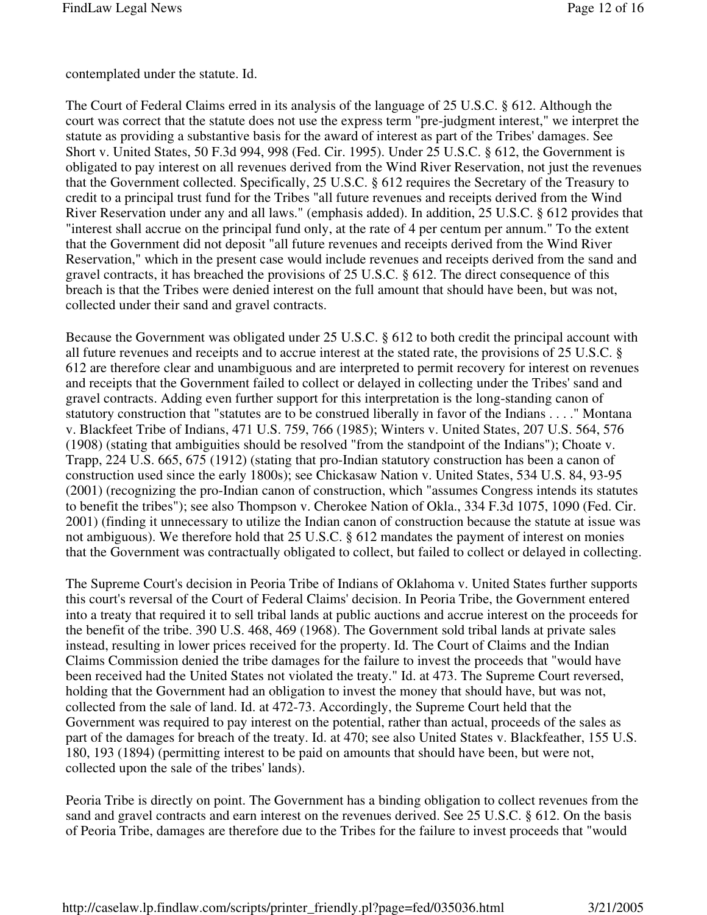contemplated under the statute. Id.

The Court of Federal Claims erred in its analysis of the language of 25 U.S.C. § 612. Although the court was correct that the statute does not use the express term "pre-judgment interest," we interpret the statute as providing a substantive basis for the award of interest as part of the Tribes' damages. See Short v. United States, 50 F.3d 994, 998 (Fed. Cir. 1995). Under 25 U.S.C. § 612, the Government is obligated to pay interest on all revenues derived from the Wind River Reservation, not just the revenues that the Government collected. Specifically, 25 U.S.C. § 612 requires the Secretary of the Treasury to credit to a principal trust fund for the Tribes "all future revenues and receipts derived from the Wind River Reservation under any and all laws." (emphasis added). In addition, 25 U.S.C. § 612 provides that "interest shall accrue on the principal fund only, at the rate of 4 per centum per annum." To the extent that the Government did not deposit "all future revenues and receipts derived from the Wind River Reservation," which in the present case would include revenues and receipts derived from the sand and gravel contracts, it has breached the provisions of 25 U.S.C. § 612. The direct consequence of this breach is that the Tribes were denied interest on the full amount that should have been, but was not, collected under their sand and gravel contracts.

Because the Government was obligated under 25 U.S.C. § 612 to both credit the principal account with all future revenues and receipts and to accrue interest at the stated rate, the provisions of 25 U.S.C. § 612 are therefore clear and unambiguous and are interpreted to permit recovery for interest on revenues and receipts that the Government failed to collect or delayed in collecting under the Tribes' sand and gravel contracts. Adding even further support for this interpretation is the long-standing canon of statutory construction that "statutes are to be construed liberally in favor of the Indians . . . ." Montana v. Blackfeet Tribe of Indians, 471 U.S. 759, 766 (1985); Winters v. United States, 207 U.S. 564, 576 (1908) (stating that ambiguities should be resolved "from the standpoint of the Indians"); Choate v. Trapp, 224 U.S. 665, 675 (1912) (stating that pro-Indian statutory construction has been a canon of construction used since the early 1800s); see Chickasaw Nation v. United States, 534 U.S. 84, 93-95 (2001) (recognizing the pro-Indian canon of construction, which "assumes Congress intends its statutes to benefit the tribes"); see also Thompson v. Cherokee Nation of Okla., 334 F.3d 1075, 1090 (Fed. Cir. 2001) (finding it unnecessary to utilize the Indian canon of construction because the statute at issue was not ambiguous). We therefore hold that 25 U.S.C. § 612 mandates the payment of interest on monies that the Government was contractually obligated to collect, but failed to collect or delayed in collecting.

The Supreme Court's decision in Peoria Tribe of Indians of Oklahoma v. United States further supports this court's reversal of the Court of Federal Claims' decision. In Peoria Tribe, the Government entered into a treaty that required it to sell tribal lands at public auctions and accrue interest on the proceeds for the benefit of the tribe. 390 U.S. 468, 469 (1968). The Government sold tribal lands at private sales instead, resulting in lower prices received for the property. Id. The Court of Claims and the Indian Claims Commission denied the tribe damages for the failure to invest the proceeds that "would have been received had the United States not violated the treaty." Id. at 473. The Supreme Court reversed, holding that the Government had an obligation to invest the money that should have, but was not, collected from the sale of land. Id. at 472-73. Accordingly, the Supreme Court held that the Government was required to pay interest on the potential, rather than actual, proceeds of the sales as part of the damages for breach of the treaty. Id. at 470; see also United States v. Blackfeather, 155 U.S. 180, 193 (1894) (permitting interest to be paid on amounts that should have been, but were not, collected upon the sale of the tribes' lands).

Peoria Tribe is directly on point. The Government has a binding obligation to collect revenues from the sand and gravel contracts and earn interest on the revenues derived. See 25 U.S.C. § 612. On the basis of Peoria Tribe, damages are therefore due to the Tribes for the failure to invest proceeds that "would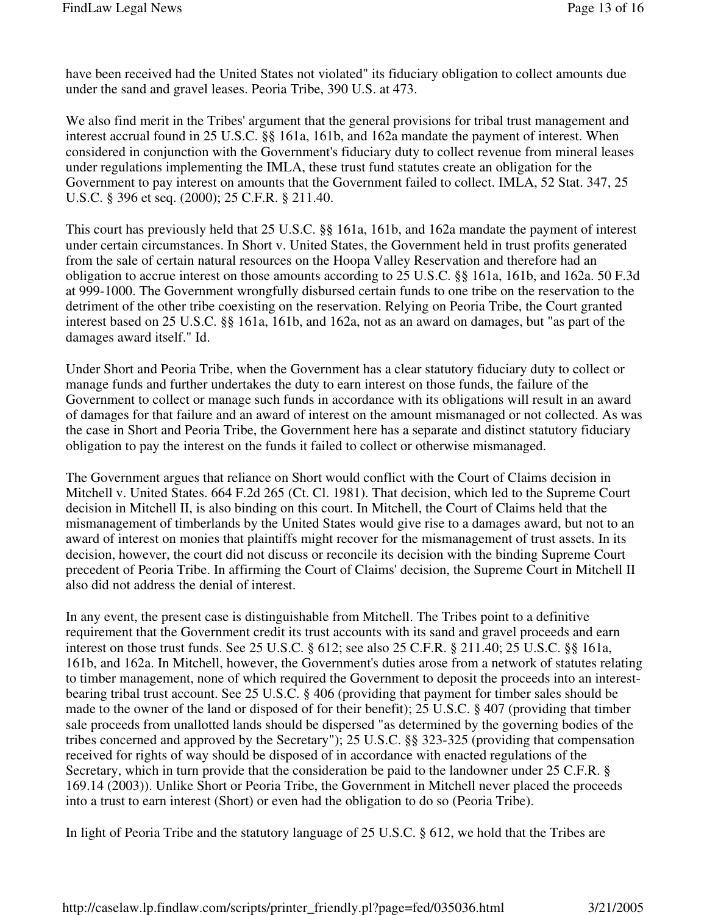have been received had the United States not violated" its fiduciary obligation to collect amounts due under the sand and gravel leases. Peoria Tribe, 390 U.S. at 473.

We also find merit in the Tribes' argument that the general provisions for tribal trust management and interest accrual found in 25 U.S.C. §§ 161a, 161b, and 162a mandate the payment of interest. When considered in conjunction with the Government's fiduciary duty to collect revenue from mineral leases under regulations implementing the IMLA, these trust fund statutes create an obligation for the Government to pay interest on amounts that the Government failed to collect. IMLA, 52 Stat. 347, 25 U.S.C. § 396 et seq. (2000); 25 C.F.R. § 211.40.

This court has previously held that 25 U.S.C. §§ 161a, 161b, and 162a mandate the payment of interest under certain circumstances. In Short v. United States, the Government held in trust profits generated from the sale of certain natural resources on the Hoopa Valley Reservation and therefore had an obligation to accrue interest on those amounts according to 25 U.S.C. §§ 161a, 161b, and 162a. 50 F.3d at 999-1000. The Government wrongfully disbursed certain funds to one tribe on the reservation to the detriment of the other tribe coexisting on the reservation. Relying on Peoria Tribe, the Court granted interest based on 25 U.S.C. §§ 161a, 161b, and 162a, not as an award on damages, but "as part of the damages award itself." Id.

Under Short and Peoria Tribe, when the Government has a clear statutory fiduciary duty to collect or manage funds and further undertakes the duty to earn interest on those funds, the failure of the Government to collect or manage such funds in accordance with its obligations will result in an award of damages for that failure and an award of interest on the amount mismanaged or not collected. As was the case in Short and Peoria Tribe, the Government here has a separate and distinct statutory fiduciary obligation to pay the interest on the funds it failed to collect or otherwise mismanaged.

The Government argues that reliance on Short would conflict with the Court of Claims decision in Mitchell v. United States. 664 F.2d 265 (Ct. Cl. 1981). That decision, which led to the Supreme Court decision in Mitchell II, is also binding on this court. In Mitchell, the Court of Claims held that the mismanagement of timberlands by the United States would give rise to a damages award, but not to an award of interest on monies that plaintiffs might recover for the mismanagement of trust assets. In its decision, however, the court did not discuss or reconcile its decision with the binding Supreme Court precedent of Peoria Tribe. In affirming the Court of Claims' decision, the Supreme Court in Mitchell II also did not address the denial of interest.

In any event, the present case is distinguishable from Mitchell. The Tribes point to a definitive requirement that the Government credit its trust accounts with its sand and gravel proceeds and earn interest on those trust funds. See 25 U.S.C. § 612; see also 25 C.F.R. § 211.40; 25 U.S.C. §§ 161a, 161b, and 162a. In Mitchell, however, the Government's duties arose from a network of statutes relating to timber management, none of which required the Government to deposit the proceeds into an interestbearing tribal trust account. See 25 U.S.C. § 406 (providing that payment for timber sales should be made to the owner of the land or disposed of for their benefit); 25 U.S.C. § 407 (providing that timber sale proceeds from unallotted lands should be dispersed "as determined by the governing bodies of the tribes concerned and approved by the Secretary"); 25 U.S.C. §§ 323-325 (providing that compensation received for rights of way should be disposed of in accordance with enacted regulations of the Secretary, which in turn provide that the consideration be paid to the landowner under 25 C.F.R. § 169.14 (2003)). Unlike Short or Peoria Tribe, the Government in Mitchell never placed the proceeds into a trust to earn interest (Short) or even had the obligation to do so (Peoria Tribe).

In light of Peoria Tribe and the statutory language of 25 U.S.C. § 612, we hold that the Tribes are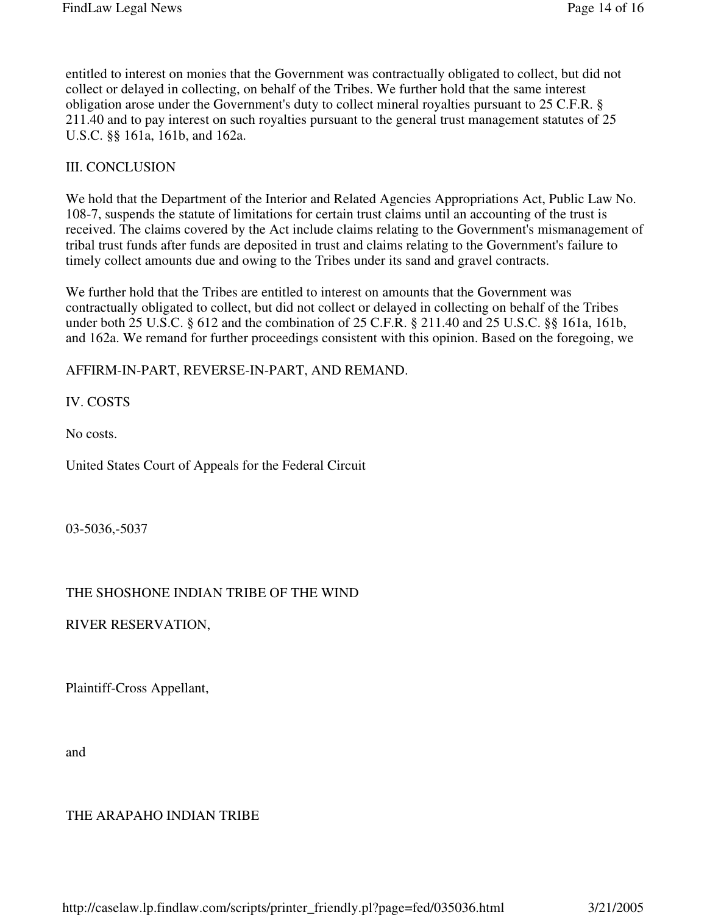entitled to interest on monies that the Government was contractually obligated to collect, but did not collect or delayed in collecting, on behalf of the Tribes. We further hold that the same interest obligation arose under the Government's duty to collect mineral royalties pursuant to 25 C.F.R. § 211.40 and to pay interest on such royalties pursuant to the general trust management statutes of 25 U.S.C. §§ 161a, 161b, and 162a.

## III. CONCLUSION

We hold that the Department of the Interior and Related Agencies Appropriations Act, Public Law No. 108-7, suspends the statute of limitations for certain trust claims until an accounting of the trust is received. The claims covered by the Act include claims relating to the Government's mismanagement of tribal trust funds after funds are deposited in trust and claims relating to the Government's failure to timely collect amounts due and owing to the Tribes under its sand and gravel contracts.

We further hold that the Tribes are entitled to interest on amounts that the Government was contractually obligated to collect, but did not collect or delayed in collecting on behalf of the Tribes under both 25 U.S.C. § 612 and the combination of 25 C.F.R. § 211.40 and 25 U.S.C. §§ 161a, 161b, and 162a. We remand for further proceedings consistent with this opinion. Based on the foregoing, we

AFFIRM-IN-PART, REVERSE-IN-PART, AND REMAND.

IV. COSTS

No costs.

United States Court of Appeals for the Federal Circuit

03-5036,-5037

## THE SHOSHONE INDIAN TRIBE OF THE WIND

RIVER RESERVATION,

Plaintiff-Cross Appellant,

and

THE ARAPAHO INDIAN TRIBE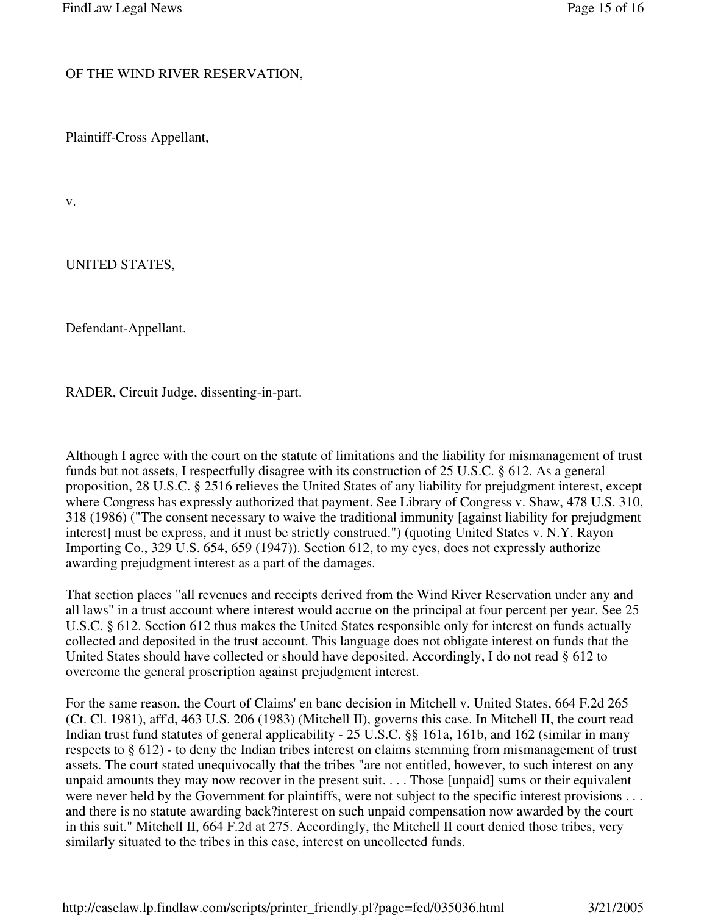#### OF THE WIND RIVER RESERVATION,

Plaintiff-Cross Appellant,

v.

UNITED STATES,

Defendant-Appellant.

RADER, Circuit Judge, dissenting-in-part.

Although I agree with the court on the statute of limitations and the liability for mismanagement of trust funds but not assets, I respectfully disagree with its construction of 25 U.S.C. § 612. As a general proposition, 28 U.S.C. § 2516 relieves the United States of any liability for prejudgment interest, except where Congress has expressly authorized that payment. See Library of Congress v. Shaw, 478 U.S. 310, 318 (1986) ("The consent necessary to waive the traditional immunity [against liability for prejudgment interest] must be express, and it must be strictly construed.") (quoting United States v. N.Y. Rayon Importing Co., 329 U.S. 654, 659 (1947)). Section 612, to my eyes, does not expressly authorize awarding prejudgment interest as a part of the damages.

That section places "all revenues and receipts derived from the Wind River Reservation under any and all laws" in a trust account where interest would accrue on the principal at four percent per year. See 25 U.S.C. § 612. Section 612 thus makes the United States responsible only for interest on funds actually collected and deposited in the trust account. This language does not obligate interest on funds that the United States should have collected or should have deposited. Accordingly, I do not read § 612 to overcome the general proscription against prejudgment interest.

For the same reason, the Court of Claims' en banc decision in Mitchell v. United States, 664 F.2d 265 (Ct. Cl. 1981), aff'd, 463 U.S. 206 (1983) (Mitchell II), governs this case. In Mitchell II, the court read Indian trust fund statutes of general applicability - 25 U.S.C. §§ 161a, 161b, and 162 (similar in many respects to § 612) - to deny the Indian tribes interest on claims stemming from mismanagement of trust assets. The court stated unequivocally that the tribes "are not entitled, however, to such interest on any unpaid amounts they may now recover in the present suit. . . . Those [unpaid] sums or their equivalent were never held by the Government for plaintiffs, were not subject to the specific interest provisions . . . and there is no statute awarding back?interest on such unpaid compensation now awarded by the court in this suit." Mitchell II, 664 F.2d at 275. Accordingly, the Mitchell II court denied those tribes, very similarly situated to the tribes in this case, interest on uncollected funds.